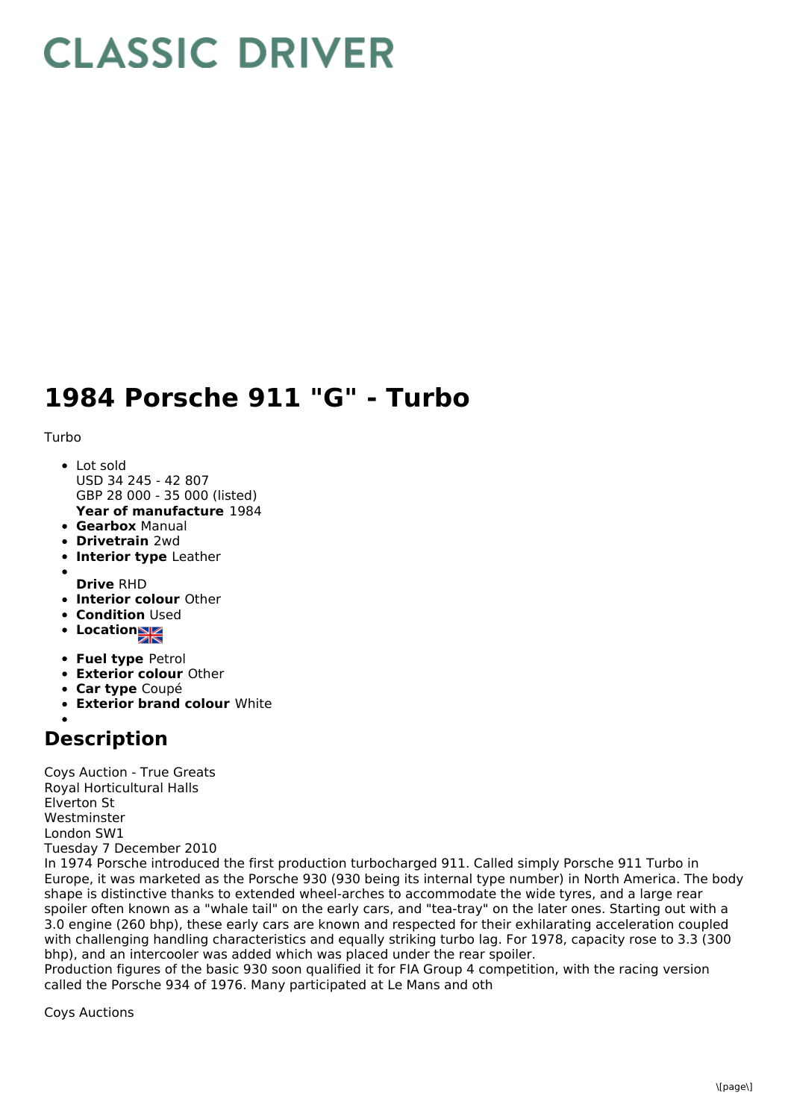## **CLASSIC DRIVER**

## **1984 Porsche 911 "G" - Turbo**

Turbo

- Lot sold USD 34 245 - 42 807 GBP 28 000 - 35 000 (listed)
- **Year of manufacture** 1984
- **Gearbox** Manual
- **Drivetrain** 2wd
- **Interior type** Leather
- 
- **Drive** RHD **Interior colour** Other
- **Condition Used**
- **Location**
- **Fuel type** Petrol
- **Exterior colour** Other
- **Car type** Coupé
- **Exterior brand colour** White

## **Description**

Coys Auction - True Greats Royal Horticultural Halls Elverton St Westminster London SW1 Tuesday 7 December 2010

In 1974 Porsche introduced the first production turbocharged 911. Called simply Porsche 911 Turbo in Europe, it was marketed as the Porsche 930 (930 being its internal type number) in North America. The body shape is distinctive thanks to extended wheel-arches to accommodate the wide tyres, and a large rear spoiler often known as a "whale tail" on the early cars, and "tea-tray" on the later ones. Starting out with a 3.0 engine (260 bhp), these early cars are known and respected for their exhilarating acceleration coupled with challenging handling characteristics and equally striking turbo lag. For 1978, capacity rose to 3.3 (300 bhp), and an intercooler was added which was placed under the rear spoiler.

Production figures of the basic 930 soon qualified it for FIA Group 4 competition, with the racing version called the Porsche 934 of 1976. Many participated at Le Mans and oth

Coys Auctions